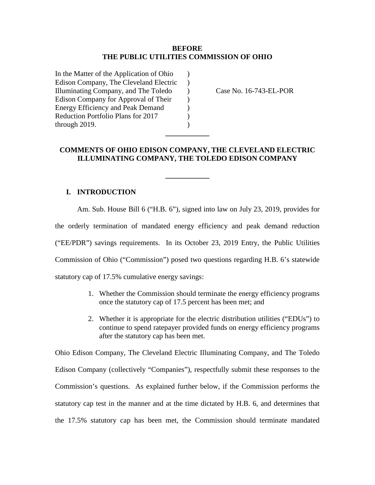#### **BEFORE THE PUBLIC UTILITIES COMMISSION OF OHIO**

)  $\lambda$ )  $\lambda$  $\mathcal{L}$ ) )

In the Matter of the Application of Ohio Edison Company, The Cleveland Electric Illuminating Company, and The Toledo Edison Company for Approval of Their Energy Efficiency and Peak Demand Reduction Portfolio Plans for 2017 through 2019.

Case No. 16-743-EL-POR

## **COMMENTS OF OHIO EDISON COMPANY, THE CLEVELAND ELECTRIC ILLUMINATING COMPANY, THE TOLEDO EDISON COMPANY**

**\_\_\_\_\_\_\_\_\_\_\_\_**

**\_\_\_\_\_\_\_\_\_\_\_\_**

#### **I. INTRODUCTION**

Am. Sub. House Bill 6 ("H.B. 6"), signed into law on July 23, 2019, provides for the orderly termination of mandated energy efficiency and peak demand reduction ("EE/PDR") savings requirements. In its October 23, 2019 Entry, the Public Utilities Commission of Ohio ("Commission") posed two questions regarding H.B. 6's statewide statutory cap of 17.5% cumulative energy savings:

- 1. Whether the Commission should terminate the energy efficiency programs once the statutory cap of 17.5 percent has been met; and
- 2. Whether it is appropriate for the electric distribution utilities ("EDUs") to continue to spend ratepayer provided funds on energy efficiency programs after the statutory cap has been met.

Ohio Edison Company, The Cleveland Electric Illuminating Company, and The Toledo Edison Company (collectively "Companies"), respectfully submit these responses to the Commission's questions. As explained further below, if the Commission performs the statutory cap test in the manner and at the time dictated by H.B. 6, and determines that the 17.5% statutory cap has been met, the Commission should terminate mandated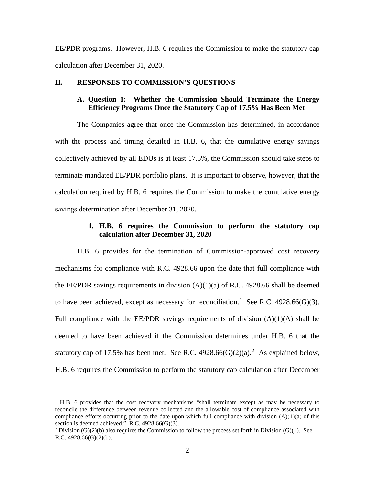EE/PDR programs. However, H.B. 6 requires the Commission to make the statutory cap calculation after December 31, 2020.

#### **II. RESPONSES TO COMMISSION'S QUESTIONS**

## **A. Question 1: Whether the Commission Should Terminate the Energy Efficiency Programs Once the Statutory Cap of 17.5% Has Been Met**

The Companies agree that once the Commission has determined, in accordance with the process and timing detailed in H.B. 6, that the cumulative energy savings collectively achieved by all EDUs is at least 17.5%, the Commission should take steps to terminate mandated EE/PDR portfolio plans. It is important to observe, however, that the calculation required by H.B. 6 requires the Commission to make the cumulative energy savings determination after December 31, 2020.

# **1. H.B. 6 requires the Commission to perform the statutory cap calculation after December 31, 2020**

H.B. 6 provides for the termination of Commission-approved cost recovery mechanisms for compliance with R.C. 4928.66 upon the date that full compliance with the EE/PDR savings requirements in division  $(A)(1)(a)$  of R.C. 4928.66 shall be deemed to have been achieved, except as necessary for reconciliation.<sup>[1](#page-1-1)</sup> See R.C. 4928.66(G)(3). Full compliance with the EE/PDR savings requirements of division  $(A)(1)(A)$  shall be deemed to have been achieved if the Commission determines under H.B. 6 that the statutory cap of 17.5% has been met. See R.C.  $4928.66(G)(2)(a)$  $4928.66(G)(2)(a)$  $4928.66(G)(2)(a)$ .<sup>2</sup> As explained below, H.B. 6 requires the Commission to perform the statutory cap calculation after December

<span id="page-1-1"></span> $1$  H.B. 6 provides that the cost recovery mechanisms "shall terminate except as may be necessary to reconcile the difference between revenue collected and the allowable cost of compliance associated with compliance efforts occurring prior to the date upon which full compliance with division  $(A)(1)(a)$  of this section is deemed achieved." R.C.  $4928.66(G)(3)$ .

<span id="page-1-0"></span><sup>&</sup>lt;sup>2</sup> Division (G)(2)(b) also requires the Commission to follow the process set forth in Division (G)(1). See R.C. 4928.66(G)(2)(b).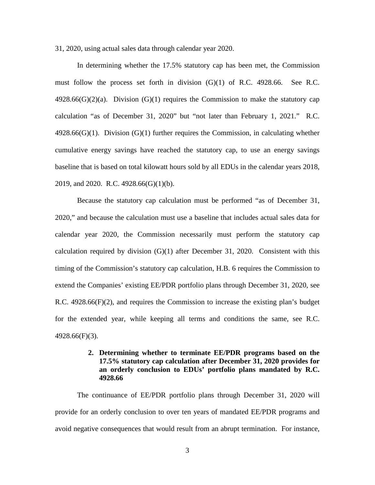31, 2020, using actual sales data through calendar year 2020.

In determining whether the 17.5% statutory cap has been met, the Commission must follow the process set forth in division (G)(1) of R.C. 4928.66. See R.C.  $4928.66(G)(2)(a)$ . Division  $(G)(1)$  requires the Commission to make the statutory cap calculation "as of December 31, 2020" but "not later than February 1, 2021." R.C.  $4928.66(G)(1)$ . Division  $(G)(1)$  further requires the Commission, in calculating whether cumulative energy savings have reached the statutory cap, to use an energy savings baseline that is based on total kilowatt hours sold by all EDUs in the calendar years 2018, 2019, and 2020. R.C. 4928.66(G)(1)(b).

Because the statutory cap calculation must be performed "as of December 31, 2020," and because the calculation must use a baseline that includes actual sales data for calendar year 2020, the Commission necessarily must perform the statutory cap calculation required by division  $(G)(1)$  after December 31, 2020. Consistent with this timing of the Commission's statutory cap calculation, H.B. 6 requires the Commission to extend the Companies' existing EE/PDR portfolio plans through December 31, 2020, see R.C. 4928.66(F)(2), and requires the Commission to increase the existing plan's budget for the extended year, while keeping all terms and conditions the same, see R.C. 4928.66(F)(3).

# **2. Determining whether to terminate EE/PDR programs based on the 17.5% statutory cap calculation after December 31, 2020 provides for an orderly conclusion to EDUs' portfolio plans mandated by R.C. 4928.66**

The continuance of EE/PDR portfolio plans through December 31, 2020 will provide for an orderly conclusion to over ten years of mandated EE/PDR programs and avoid negative consequences that would result from an abrupt termination. For instance,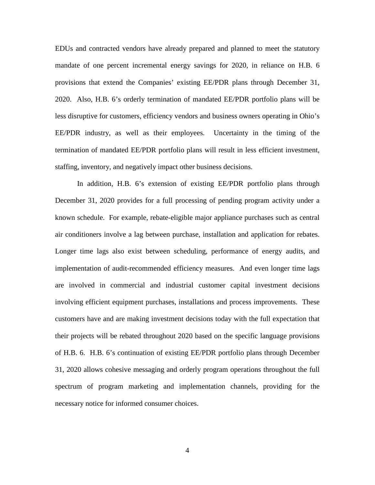EDUs and contracted vendors have already prepared and planned to meet the statutory mandate of one percent incremental energy savings for 2020, in reliance on H.B. 6 provisions that extend the Companies' existing EE/PDR plans through December 31, 2020. Also, H.B. 6's orderly termination of mandated EE/PDR portfolio plans will be less disruptive for customers, efficiency vendors and business owners operating in Ohio's EE/PDR industry, as well as their employees. Uncertainty in the timing of the termination of mandated EE/PDR portfolio plans will result in less efficient investment, staffing, inventory, and negatively impact other business decisions.

In addition, H.B. 6's extension of existing EE/PDR portfolio plans through December 31, 2020 provides for a full processing of pending program activity under a known schedule. For example, rebate-eligible major appliance purchases such as central air conditioners involve a lag between purchase, installation and application for rebates. Longer time lags also exist between scheduling, performance of energy audits, and implementation of audit-recommended efficiency measures. And even longer time lags are involved in commercial and industrial customer capital investment decisions involving efficient equipment purchases, installations and process improvements. These customers have and are making investment decisions today with the full expectation that their projects will be rebated throughout 2020 based on the specific language provisions of H.B. 6. H.B. 6's continuation of existing EE/PDR portfolio plans through December 31, 2020 allows cohesive messaging and orderly program operations throughout the full spectrum of program marketing and implementation channels, providing for the necessary notice for informed consumer choices.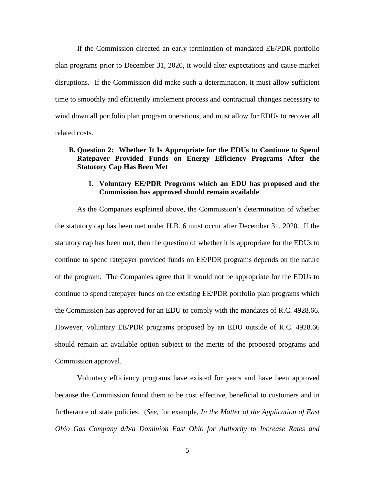If the Commission directed an early termination of mandated EE/PDR portfolio plan programs prior to December 31, 2020, it would alter expectations and cause market disruptions. If the Commission did make such a determination, it must allow sufficient time to smoothly and efficiently implement process and contractual changes necessary to wind down all portfolio plan program operations, and must allow for EDUs to recover all related costs.

## **B. Question 2: Whether It Is Appropriate for the EDUs to Continue to Spend Ratepayer Provided Funds on Energy Efficiency Programs After the Statutory Cap Has Been Met**

#### **1. Voluntary EE/PDR Programs which an EDU has proposed and the Commission has approved should remain available**

As the Companies explained above, the Commission's determination of whether the statutory cap has been met under H.B. 6 must occur after December 31, 2020. If the statutory cap has been met, then the question of whether it is appropriate for the EDUs to continue to spend ratepayer provided funds on EE/PDR programs depends on the nature of the program. The Companies agree that it would not be appropriate for the EDUs to continue to spend ratepayer funds on the existing EE/PDR portfolio plan programs which the Commission has approved for an EDU to comply with the mandates of R.C. 4928.66. However, voluntary EE/PDR programs proposed by an EDU outside of R.C. 4928.66 should remain an available option subject to the merits of the proposed programs and Commission approval.

Voluntary efficiency programs have existed for years and have been approved because the Commission found them to be cost effective, beneficial to customers and in furtherance of state policies. (*See*, for example, *In the Matter of the Application of East Ohio Gas Company d/b/a Dominion East Ohio for Authority to Increase Rates and*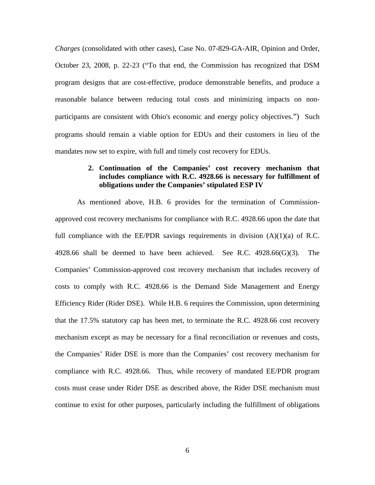*Charges* (consolidated with other cases), Case No. 07-829-GA-AIR, Opinion and Order, October 23, 2008, p. 22-23 ("To that end, the Commission has recognized that DSM program designs that are cost-effective, produce demonstrable benefits, and produce a reasonable balance between reducing total costs and minimizing impacts on nonparticipants are consistent with Ohio's economic and energy policy objectives.") Such programs should remain a viable option for EDUs and their customers in lieu of the mandates now set to expire, with full and timely cost recovery for EDUs.

## **2. Continuation of the Companies' cost recovery mechanism that includes compliance with R.C. 4928.66 is necessary for fulfillment of obligations under the Companies' stipulated ESP IV**

As mentioned above, H.B. 6 provides for the termination of Commissionapproved cost recovery mechanisms for compliance with R.C. 4928.66 upon the date that full compliance with the EE/PDR savings requirements in division  $(A)(1)(a)$  of R.C. 4928.66 shall be deemed to have been achieved. See R.C.  $4928.66(G)(3)$ . The Companies' Commission-approved cost recovery mechanism that includes recovery of costs to comply with R.C. 4928.66 is the Demand Side Management and Energy Efficiency Rider (Rider DSE). While H.B. 6 requires the Commission, upon determining that the 17.5% statutory cap has been met, to terminate the R.C. 4928.66 cost recovery mechanism except as may be necessary for a final reconciliation or revenues and costs, the Companies' Rider DSE is more than the Companies' cost recovery mechanism for compliance with R.C. 4928.66. Thus, while recovery of mandated EE/PDR program costs must cease under Rider DSE as described above, the Rider DSE mechanism must continue to exist for other purposes, particularly including the fulfillment of obligations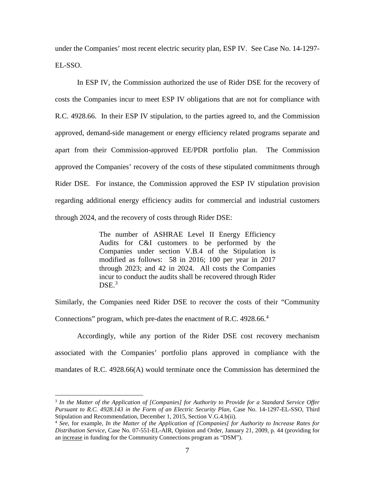under the Companies' most recent electric security plan, ESP IV. See Case No. 14-1297- EL-SSO.

In ESP IV, the Commission authorized the use of Rider DSE for the recovery of costs the Companies incur to meet ESP IV obligations that are not for compliance with R.C. 4928.66. In their ESP IV stipulation, to the parties agreed to, and the Commission approved, demand-side management or energy efficiency related programs separate and apart from their Commission-approved EE/PDR portfolio plan. The Commission approved the Companies' recovery of the costs of these stipulated commitments through Rider DSE. For instance, the Commission approved the ESP IV stipulation provision regarding additional energy efficiency audits for commercial and industrial customers through 2024, and the recovery of costs through Rider DSE:

> The number of ASHRAE Level II Energy Efficiency Audits for C&I customers to be performed by the Companies under section V.B.4 of the Stipulation is modified as follows: 58 in 2016; 100 per year in 2017 through 2023; and 42 in 2024. All costs the Companies incur to conduct the audits shall be recovered through Rider  $DSE.<sup>3</sup>$  $DSE.<sup>3</sup>$  $DSE.<sup>3</sup>$

Similarly, the Companies need Rider DSE to recover the costs of their "Community Connections" program, which pre-dates the enactment of R.C. 4928.66. [4](#page-6-0)

Accordingly, while any portion of the Rider DSE cost recovery mechanism associated with the Companies' portfolio plans approved in compliance with the mandates of R.C. 4928.66(A) would terminate once the Commission has determined the

<span id="page-6-1"></span> <sup>3</sup> *In the Matter of the Application of [Companies] for Authority to Provide for a Standard Service Offer Pursuant to R.C. 4928.143 in the Form of an Electric Security Plan*, Case No. 14-1297-EL-SSO, Third Stipulation and Recommendation, December 1, 2015, Section V.G.4.b(ii).

<span id="page-6-0"></span><sup>4</sup> *See*, for example, *In the Matter of the Application of [Companies] for Authority to Increase Rates for Distribution Service*, Case No. 07-551-EL-AIR, Opinion and Order, January 21, 2009, p. 44 (providing for an increase in funding for the Community Connections program as "DSM").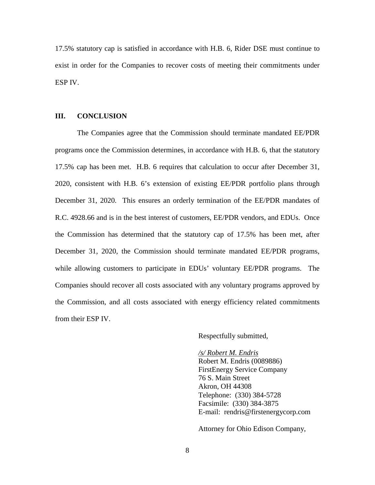17.5% statutory cap is satisfied in accordance with H.B. 6, Rider DSE must continue to exist in order for the Companies to recover costs of meeting their commitments under ESP IV.

#### **III. CONCLUSION**

The Companies agree that the Commission should terminate mandated EE/PDR programs once the Commission determines, in accordance with H.B. 6, that the statutory 17.5% cap has been met. H.B. 6 requires that calculation to occur after December 31, 2020, consistent with H.B. 6's extension of existing EE/PDR portfolio plans through December 31, 2020. This ensures an orderly termination of the EE/PDR mandates of R.C. 4928.66 and is in the best interest of customers, EE/PDR vendors, and EDUs. Once the Commission has determined that the statutory cap of 17.5% has been met, after December 31, 2020, the Commission should terminate mandated EE/PDR programs, while allowing customers to participate in EDUs' voluntary EE/PDR programs. The Companies should recover all costs associated with any voluntary programs approved by the Commission, and all costs associated with energy efficiency related commitments from their ESP IV.

Respectfully submitted,

*/s/ Robert M. Endris* Robert M. Endris (0089886) FirstEnergy Service Company 76 S. Main Street Akron, OH 44308 Telephone: (330) 384-5728 Facsimile: (330) 384-3875 E-mail: rendris@firstenergycorp.com

Attorney for Ohio Edison Company,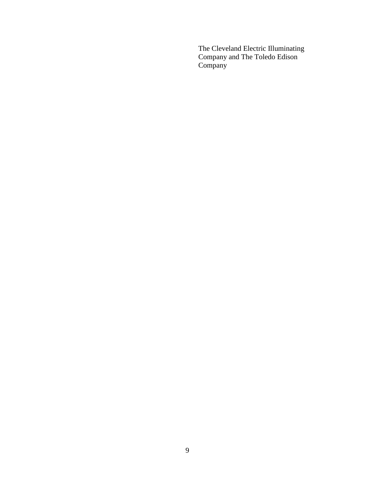The Cleveland Electric Illuminating Company and The Toledo Edison Company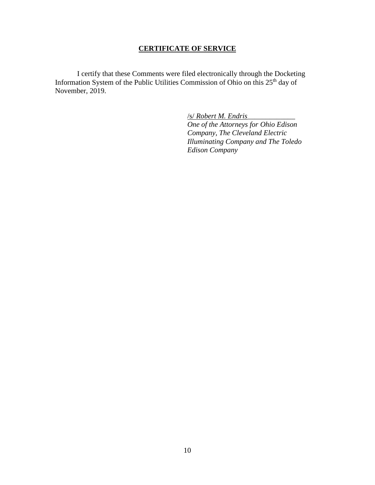# **CERTIFICATE OF SERVICE**

I certify that these Comments were filed electronically through the Docketing Information System of the Public Utilities Commission of Ohio on this 25<sup>th</sup> day of November, 2019.

/s/ *Robert M. Endris*\_\_\_\_\_\_\_\_\_\_\_\_\_

*One of the Attorneys for Ohio Edison Company, The Cleveland Electric Illuminating Company and The Toledo Edison Company*